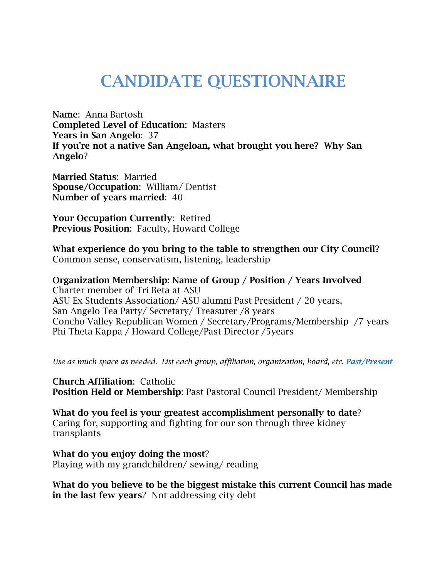## **CANDIDATE QUESTIONNAIRE**

**Name**: Anna Bartosh **Completed Level of Education**: Masters **Years in San Angelo**: 37 **If you're not a native San Angeloan, what brought you here? Why San Angelo**?

**Married Status**: Married **Spouse/Occupation**: William/ Dentist **Number of years married**: 40

**Your Occupation Currently**: Retired **Previous Position**: Faculty, Howard College

**What experience do you bring to the table to strengthen our City Council?** Common sense, conservatism, listening, leadership

**Organization Membership: Name of Group / Position / Years Involved**  Charter member of Tri Beta at ASU ASU Ex Students Association/ ASU alumni Past President / 20 years, San Angelo Tea Party/ Secretary/ Treasurer /8 years Concho Valley Republican Women / Secretary/Programs/Membership /7 years Phi Theta Kappa / Howard College/Past Director /5years

*Use as much space as needed. List each group, affiliation, organization, board, etc. Past/Present*

**Church Affiliation**: Catholic **Position Held or Membership**: Past Pastoral Council President/ Membership

**What do you feel is your greatest accomplishment personally to date**? Caring for, supporting and fighting for our son through three kidney transplants

**What do you enjoy doing the most**? Playing with my grandchildren/ sewing/ reading

**What do you believe to be the biggest mistake this current Council has made in the last few years**? Not addressing city debt